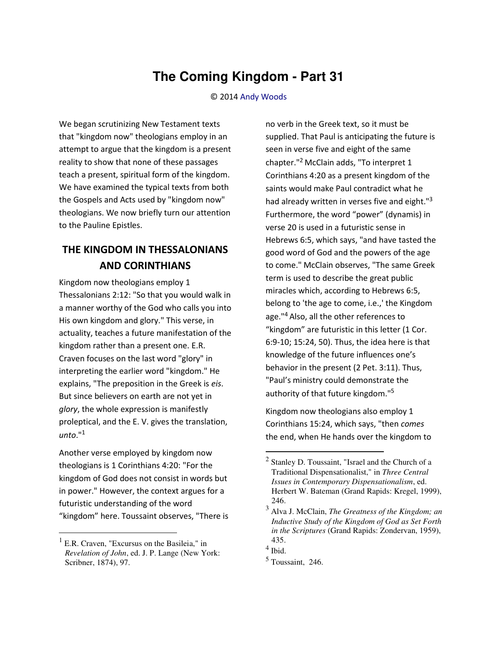## **The Coming Kingdom - Part 31**

© 2014 [Andy Woods](http://www.spiritandtruth.org/id/aw.htm)

We began scrutinizing New Testament texts that "kingdom now" theologians employ in an attempt to argue that the kingdom is a present reality to show that none of these passages teach a present, spiritual form of the kingdom. We have examined the typical texts from both the Gospels and Acts used by "kingdom now" theologians. We now briefly turn our attention to the Pauline Epistles.

## **THE KINGDOM IN THESSALONIANS AND CORINTHIANS**

Kingdom now theologians employ 1 Thessalonians 2:12: "So that you would walk in a manner worthy of the God who calls you into His own kingdom and glory." This verse, in actuality, teaches a future manifestation of the kingdom rather than a present one. E.R. Craven focuses on the last word "glory" in interpreting the earlier word "kingdom." He explains, "The preposition in the Greek is *eis*. But since believers on earth are not yet in *glory*, the whole expression is manifestly proleptical, and the E. V. gives the translation, *unto*."<sup>1</sup>

Another verse employed by kingdom now theologians is 1 Corinthians 4:20: "For the kingdom of God does not consist in words but in power." However, the context argues for a futuristic understanding of the word "kingdom" here. Toussaint observes, "There is

 $\overline{\phantom{0}}$ 

no verb in the Greek text, so it must be supplied. That Paul is anticipating the future is seen in verse five and eight of the same chapter."2 McClain adds, "To interpret 1 Corinthians 4:20 as a present kingdom of the saints would make Paul contradict what he had already written in verses five and eight."<sup>3</sup> Furthermore, the word "power" (dynamis) in verse 20 is used in a futuristic sense in Hebrews 6:5, which says, "and have tasted the good word of God and the powers of the age to come." McClain observes, "The same Greek term is used to describe the great public miracles which, according to Hebrews 6:5, belong to 'the age to come, i.e.,' the Kingdom age."<sup>4</sup> Also, all the other references to "kingdom" are futuristic in this letter (1 Cor. 6:9-10; 15:24, 50). Thus, the idea here is that knowledge of the future influences one's behavior in the present (2 Pet. 3:11). Thus, "Paul's ministry could demonstrate the authority of that future kingdom."<sup>5</sup>

Kingdom now theologians also employ 1 Corinthians 15:24, which says, "then *comes* the end, when He hands over the kingdom to

l

<sup>&</sup>lt;sup>1</sup> E.R. Craven, "Excursus on the Basileia," in *Revelation of John*, ed. J. P. Lange (New York: Scribner, 1874), 97.

 $2$  Stanley D. Toussaint, "Israel and the Church of a Traditional Dispensationalist," in *Three Central Issues in Contemporary Dispensationalism*, ed. Herbert W. Bateman (Grand Rapids: Kregel, 1999), 246.

<sup>3</sup> Alva J. McClain, *The Greatness of the Kingdom; an Inductive Study of the Kingdom of God as Set Forth in the Scriptures* (Grand Rapids: Zondervan, 1959), 435.

<sup>4</sup> Ibid.

 $<sup>5</sup>$  Toussaint, 246.</sup>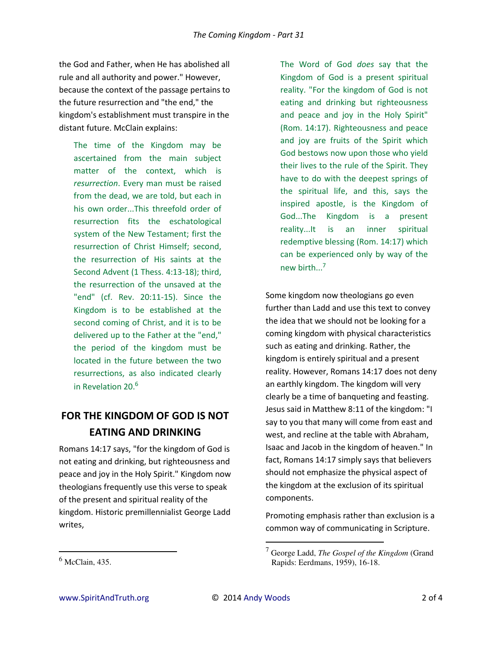the God and Father, when He has abolished all rule and all authority and power." However, because the context of the passage pertains to the future resurrection and "the end," the kingdom's establishment must transpire in the distant future. McClain explains:

The time of the Kingdom may be ascertained from the main subject matter of the context, which is *resurrection*. Every man must be raised from the dead, we are told, but each in his own order...This threefold order of resurrection fits the eschatological system of the New Testament; first the resurrection of Christ Himself; second, the resurrection of His saints at the Second Advent (1 Thess. 4:13-18); third, the resurrection of the unsaved at the "end" (cf. Rev. 20:11-15). Since the Kingdom is to be established at the second coming of Christ, and it is to be delivered up to the Father at the "end," the period of the kingdom must be located in the future between the two resurrections, as also indicated clearly in Revelation 20.<sup>6</sup>

## **FOR THE KINGDOM OF GOD IS NOT EATING AND DRINKING**

Romans 14:17 says, "for the kingdom of God is not eating and drinking, but righteousness and peace and joy in the Holy Spirit." Kingdom now theologians frequently use this verse to speak of the present and spiritual reality of the kingdom. Historic premillennialist George Ladd writes,

The Word of God *does* say that the Kingdom of God is a present spiritual reality. "For the kingdom of God is not eating and drinking but righteousness and peace and joy in the Holy Spirit" (Rom. 14:17). Righteousness and peace and joy are fruits of the Spirit which God bestows now upon those who yield their lives to the rule of the Spirit. They have to do with the deepest springs of the spiritual life, and this, says the inspired apostle, is the Kingdom of God...The Kingdom is a present reality...It is an inner spiritual redemptive blessing (Rom. 14:17) which can be experienced only by way of the new birth... 7

Some kingdom now theologians go even further than Ladd and use this text to convey the idea that we should not be looking for a coming kingdom with physical characteristics such as eating and drinking. Rather, the kingdom is entirely spiritual and a present reality. However, Romans 14:17 does not deny an earthly kingdom. The kingdom will very clearly be a time of banqueting and feasting. Jesus said in Matthew 8:11 of the kingdom: "I say to you that many will come from east and west, and recline at the table with Abraham, Isaac and Jacob in the kingdom of heaven." In fact, Romans 14:17 simply says that believers should not emphasize the physical aspect of the kingdom at the exclusion of its spiritual components.

Promoting emphasis rather than exclusion is a common way of communicating in Scripture.

l

 $\overline{a}$ 

 $<sup>6</sup>$  McClain, 435.</sup>

<sup>7</sup> George Ladd, *The Gospel of the Kingdom* (Grand Rapids: Eerdmans, 1959), 16-18.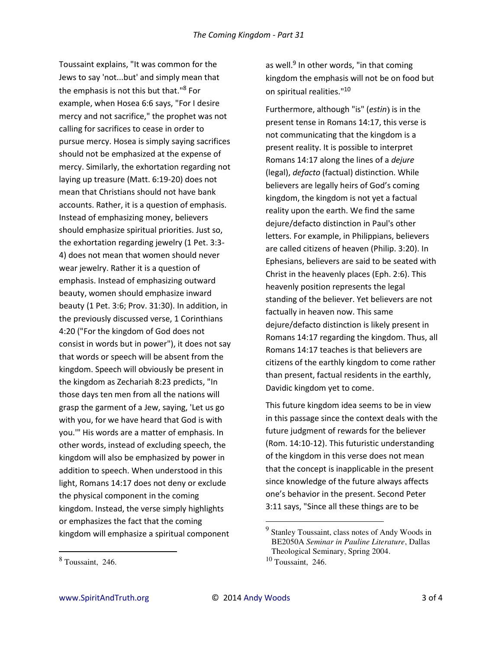Toussaint explains, "It was common for the Jews to say 'not...but' and simply mean that the emphasis is not this but that."<sup>8</sup> For example, when Hosea 6:6 says, "For I desire mercy and not sacrifice," the prophet was not calling for sacrifices to cease in order to pursue mercy. Hosea is simply saying sacrifices should not be emphasized at the expense of mercy. Similarly, the exhortation regarding not laying up treasure (Matt. 6:19-20) does not mean that Christians should not have bank accounts. Rather, it is a question of emphasis. Instead of emphasizing money, believers should emphasize spiritual priorities. Just so, the exhortation regarding jewelry (1 Pet. 3:3- 4) does not mean that women should never wear jewelry. Rather it is a question of emphasis. Instead of emphasizing outward beauty, women should emphasize inward beauty (1 Pet. 3:6; Prov. 31:30). In addition, in the previously discussed verse, 1 Corinthians 4:20 ("For the kingdom of God does not consist in words but in power"), it does not say that words or speech will be absent from the kingdom. Speech will obviously be present in the kingdom as Zechariah 8:23 predicts, "In those days ten men from all the nations will grasp the garment of a Jew, saying, 'Let us go with you, for we have heard that God is with you.'" His words are a matter of emphasis. In other words, instead of excluding speech, the kingdom will also be emphasized by power in addition to speech. When understood in this light, Romans 14:17 does not deny or exclude the physical component in the coming kingdom. Instead, the verse simply highlights or emphasizes the fact that the coming kingdom will emphasize a spiritual component

l

as well.<sup>9</sup> In other words, "in that coming kingdom the emphasis will not be on food but on spiritual realities."<sup>10</sup>

Furthermore, although "is" (*estin*) is in the present tense in Romans 14:17, this verse is not communicating that the kingdom is a present reality. It is possible to interpret Romans 14:17 along the lines of a *dejure* (legal), *defacto* (factual) distinction. While believers are legally heirs of God's coming kingdom, the kingdom is not yet a factual reality upon the earth. We find the same dejure/defacto distinction in Paul's other letters. For example, in Philippians, believers are called citizens of heaven (Philip. 3:20). In Ephesians, believers are said to be seated with Christ in the heavenly places (Eph. 2:6). This heavenly position represents the legal standing of the believer. Yet believers are not factually in heaven now. This same dejure/defacto distinction is likely present in Romans 14:17 regarding the kingdom. Thus, all Romans 14:17 teaches is that believers are citizens of the earthly kingdom to come rather than present, factual residents in the earthly, Davidic kingdom yet to come.

This future kingdom idea seems to be in view in this passage since the context deals with the future judgment of rewards for the believer (Rom. 14:10-12). This futuristic understanding of the kingdom in this verse does not mean that the concept is inapplicable in the present since knowledge of the future always affects one's behavior in the present. Second Peter 3:11 says, "Since all these things are to be

l

<sup>8</sup> Toussaint, 246.

<sup>&</sup>lt;sup>9</sup> Stanley Toussaint, class notes of Andy Woods in BE2050A *Seminar in Pauline Literature*, Dallas Theological Seminary, Spring 2004.  $10$  Toussaint, 246.